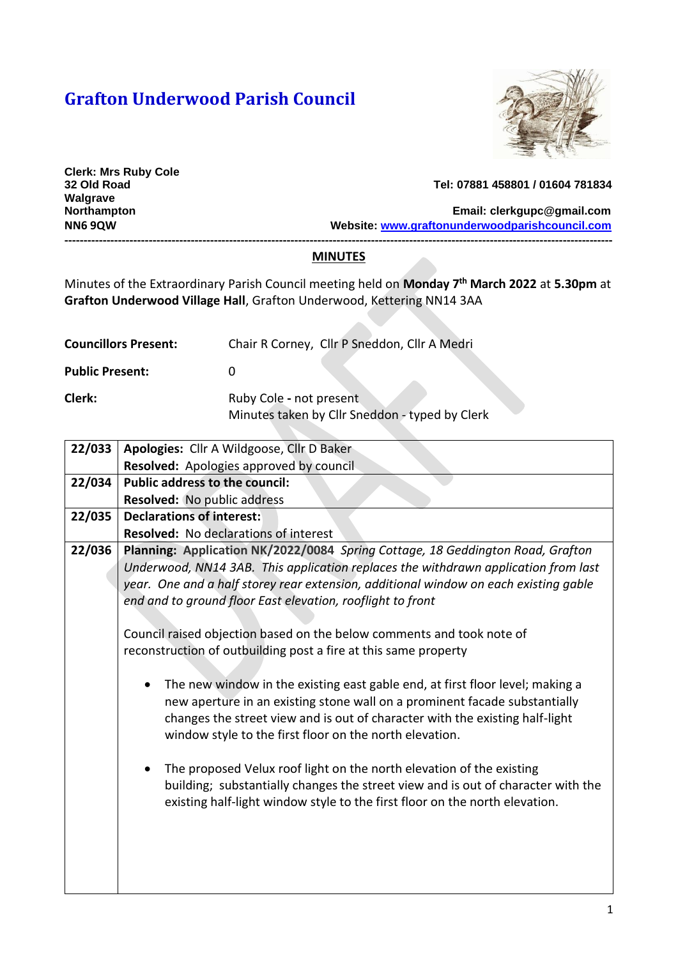## **Grafton Underwood Parish Council**



**Clerk: Mrs Ruby Cole Walgrave** 

## **32 Old Road Tel: 07881 458801 / 01604 781834**

**Northampton Email: [clerkgupc@gmail.com](mailto:clerkgupc@gmail.com) NN6 9QW Website: [www.graftonunderwoodparishcouncil.com](http://www.graftonunderwoodparishcouncil.com/)**

**-----------------------------------------------------------------------------------------------------------------------------------------------**

## **MINUTES**

Minutes of the Extraordinary Parish Council meeting held on **Monday 7th March 2022** at **5.30pm** at **Grafton Underwood Village Hall**, Grafton Underwood, Kettering NN14 3AA

| <b>Councillors Present:</b> | Chair R Corney, Cllr P Sneddon, Cllr A Medri                              |
|-----------------------------|---------------------------------------------------------------------------|
| <b>Public Present:</b>      |                                                                           |
| Clerk:                      | Ruby Cole - not present<br>Minutes taken by Cllr Sneddon - typed by Clerk |

| 22/033 | Apologies: Cllr A Wildgoose, Cllr D Baker                                            |  |
|--------|--------------------------------------------------------------------------------------|--|
|        | Resolved: Apologies approved by council                                              |  |
| 22/034 | <b>Public address to the council:</b>                                                |  |
|        | <b>Resolved:</b> No public address                                                   |  |
| 22/035 | <b>Declarations of interest:</b>                                                     |  |
|        | <b>Resolved:</b> No declarations of interest                                         |  |
| 22/036 | Planning: Application NK/2022/0084 Spring Cottage, 18 Geddington Road, Grafton       |  |
|        | Underwood, NN14 3AB. This application replaces the withdrawn application from last   |  |
|        | year. One and a half storey rear extension, additional window on each existing gable |  |
|        | end and to ground floor East elevation, rooflight to front                           |  |
|        |                                                                                      |  |
|        | Council raised objection based on the below comments and took note of                |  |
|        | reconstruction of outbuilding post a fire at this same property                      |  |
|        |                                                                                      |  |
|        | The new window in the existing east gable end, at first floor level; making a        |  |
|        | new aperture in an existing stone wall on a prominent facade substantially           |  |
|        | changes the street view and is out of character with the existing half-light         |  |
|        | window style to the first floor on the north elevation.                              |  |
|        | The proposed Velux roof light on the north elevation of the existing                 |  |
|        | building; substantially changes the street view and is out of character with the     |  |
|        | existing half-light window style to the first floor on the north elevation.          |  |
|        |                                                                                      |  |
|        |                                                                                      |  |
|        |                                                                                      |  |
|        |                                                                                      |  |
|        |                                                                                      |  |